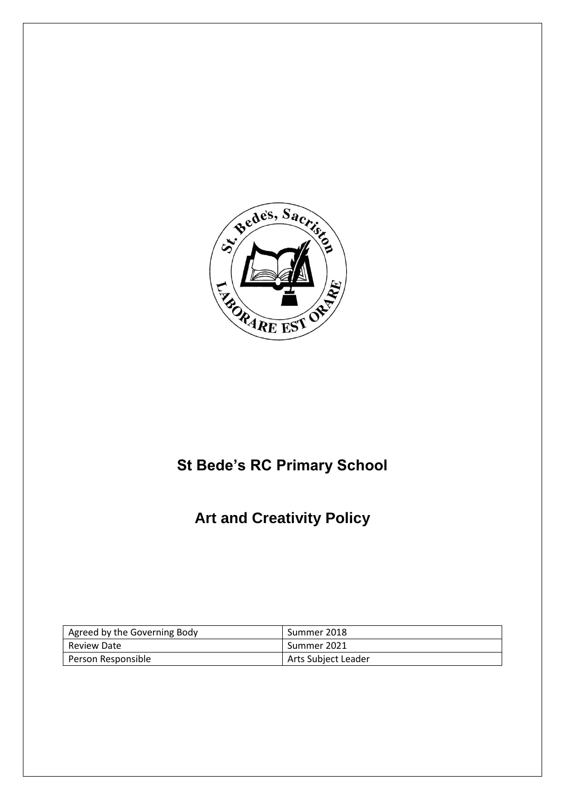

# **St Bede's RC Primary School**

**Art and Creativity Policy**

| Agreed by the Governing Body | Summer 2018         |
|------------------------------|---------------------|
| Review Date                  | Summer 2021         |
| Person Responsible           | Arts Subject Leader |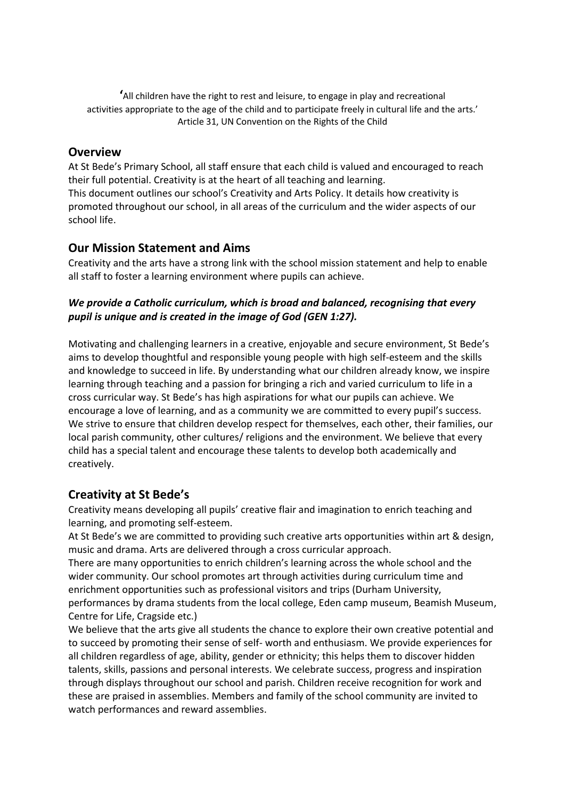**'**All children have the right to rest and leisure, to engage in play and recreational activities appropriate to the age of the child and to participate freely in cultural life and the arts.' Article 31, UN Convention on the Rights of the Child

#### **Overview**

At St Bede's Primary School, all staff ensure that each child is valued and encouraged to reach their full potential. Creativity is at the heart of all teaching and learning. This document outlines our school's Creativity and Arts Policy. It details how creativity is promoted throughout our school, in all areas of the curriculum and the wider aspects of our school life.

## **Our Mission Statement and Aims**

Creativity and the arts have a strong link with the school mission statement and help to enable all staff to foster a learning environment where pupils can achieve.

#### *We provide a Catholic curriculum, which is broad and balanced, recognising that every pupil is unique and is created in the image of God (GEN 1:27).*

Motivating and challenging learners in a creative, enjoyable and secure environment, St Bede's aims to develop thoughtful and responsible young people with high self-esteem and the skills and knowledge to succeed in life. By understanding what our children already know, we inspire learning through teaching and a passion for bringing a rich and varied curriculum to life in a cross curricular way. St Bede's has high aspirations for what our pupils can achieve. We encourage a love of learning, and as a community we are committed to every pupil's success. We strive to ensure that children develop respect for themselves, each other, their families, our local parish community, other cultures/ religions and the environment. We believe that every child has a special talent and encourage these talents to develop both academically and creatively.

## **Creativity at St Bede's**

Creativity means developing all pupils' creative flair and imagination to enrich teaching and learning, and promoting self-esteem.

At St Bede's we are committed to providing such creative arts opportunities within art & design, music and drama. Arts are delivered through a cross curricular approach.

There are many opportunities to enrich children's learning across the whole school and the wider community. Our school promotes art through activities during curriculum time and enrichment opportunities such as professional visitors and trips (Durham University, performances by drama students from the local college, Eden camp museum, Beamish Museum, Centre for Life, Cragside etc.)

We believe that the arts give all students the chance to explore their own creative potential and to succeed by promoting their sense of self- worth and enthusiasm. We provide experiences for all children regardless of age, ability, gender or ethnicity; this helps them to discover hidden talents, skills, passions and personal interests. We celebrate success, progress and inspiration through displays throughout our school and parish. Children receive recognition for work and these are praised in assemblies. Members and family of the school community are invited to watch performances and reward assemblies.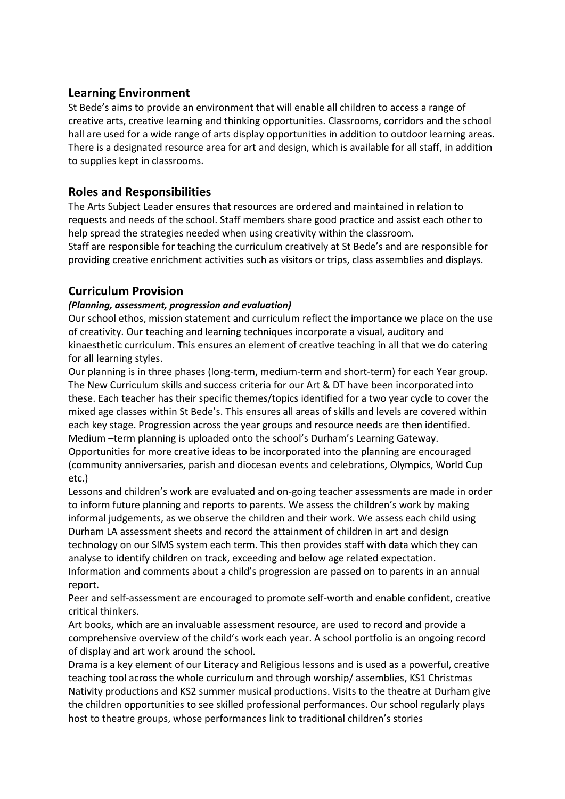### **Learning Environment**

St Bede's aims to provide an environment that will enable all children to access a range of creative arts, creative learning and thinking opportunities. Classrooms, corridors and the school hall are used for a wide range of arts display opportunities in addition to outdoor learning areas. There is a designated resource area for art and design, which is available for all staff, in addition to supplies kept in classrooms.

# **Roles and Responsibilities**

The Arts Subject Leader ensures that resources are ordered and maintained in relation to requests and needs of the school. Staff members share good practice and assist each other to help spread the strategies needed when using creativity within the classroom. Staff are responsible for teaching the curriculum creatively at St Bede's and are responsible for providing creative enrichment activities such as visitors or trips, class assemblies and displays.

# **Curriculum Provision**

#### *(Planning, assessment, progression and evaluation)*

Our school ethos, mission statement and curriculum reflect the importance we place on the use of creativity. Our teaching and learning techniques incorporate a visual, auditory and kinaesthetic curriculum. This ensures an element of creative teaching in all that we do catering for all learning styles.

Our planning is in three phases (long-term, medium-term and short-term) for each Year group. The New Curriculum skills and success criteria for our Art & DT have been incorporated into these. Each teacher has their specific themes/topics identified for a two year cycle to cover the mixed age classes within St Bede's. This ensures all areas of skills and levels are covered within each key stage. Progression across the year groups and resource needs are then identified. Medium –term planning is uploaded onto the school's Durham's Learning Gateway. Opportunities for more creative ideas to be incorporated into the planning are encouraged (community anniversaries, parish and diocesan events and celebrations, Olympics, World Cup etc.)

Lessons and children's work are evaluated and on-going teacher assessments are made in order to inform future planning and reports to parents. We assess the children's work by making informal judgements, as we observe the children and their work. We assess each child using Durham LA assessment sheets and record the attainment of children in art and design technology on our SIMS system each term. This then provides staff with data which they can analyse to identify children on track, exceeding and below age related expectation. Information and comments about a child's progression are passed on to parents in an annual report.

Peer and self-assessment are encouraged to promote self-worth and enable confident, creative critical thinkers.

Art books, which are an invaluable assessment resource, are used to record and provide a comprehensive overview of the child's work each year. A school portfolio is an ongoing record of display and art work around the school.

Drama is a key element of our Literacy and Religious lessons and is used as a powerful, creative teaching tool across the whole curriculum and through worship/ assemblies, KS1 Christmas Nativity productions and KS2 summer musical productions. Visits to the theatre at Durham give the children opportunities to see skilled professional performances. Our school regularly plays host to theatre groups, whose performances link to traditional children's stories